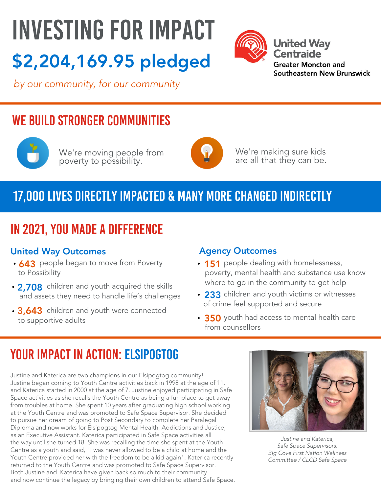# INVESTING FOR IMPACT \$2,204,169.95 pledged



**United Way Centraide Greater Moncton and** Southeastern New Brunswick

by our community, for our community

## WE BUILD STRONGER COMMUNITIES



We're moving people from poverty to possibility.



We're making sure kids are all that they can be.

## 17,000 lives directly impacted & many more changed indirectly

## In 2021, you made a difference

#### United Way Outcomes **Agency Outcomes**

- **643** people began to move from Poverty to Possibility
- 2,708 children and youth acquired the skills and assets they need to handle life's challenges
- 3,643 children and youth were connected to supportive adults

- **151** people dealing with homelessness, poverty, mental health and substance use know where to go in the community to get help
- 233 children and youth victims or witnesses of crime feel supported and secure
- **350** youth had access to mental health care from counsellors

## YOUR IMPACT IN ACTION: ELSIPOGTOG

Justine and Katerica are two champions in our Elsipogtog community! Justine began coming to Youth Centre activities back in 1998 at the age of 11, and Katerica started in 2000 at the age of 7. Justine enjoyed participating in Safe Space activities as she recalls the Youth Centre as being a fun place to get away from troubles at home. She spent 10 years after graduating high school working at the Youth Centre and was promoted to Safe Space Supervisor. She decided to pursue her dream of going to Post Secondary to complete her Paralegal Diploma and now works for Elsipogtog Mental Health, Addictions and Justice, as an Executive Assistant. Katerica participated in Safe Space activities all the way until she turned 18. She was recalling the time she spent at the Youth Centre as a youth and said, "I was never allowed to be a child at home and the Youth Centre provided her with the freedom to be a kid again". Katerica recently returned to the Youth Centre and was promoted to Safe Space Supervisor. Both Justine and Katerica have given back so much to their community and now continue the legacy by bringing their own children to attend Safe Space.



Justine and Katerica, Safe Space Supervisors: Big Cove First Nation Wellness Committee / CLCD Safe Space